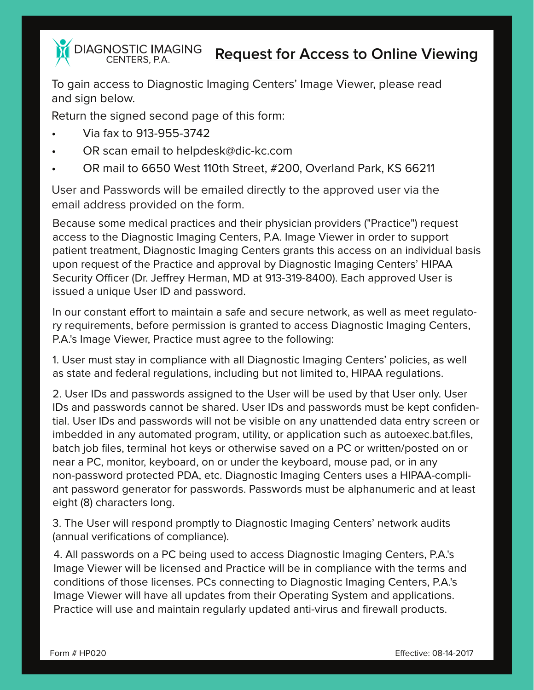**DIAGNOSTIC IMAGING** CENTERS, P.A.

**Request for Access to Online Viewing**

To gain access to Diagnostic Imaging Centers' Image Viewer, please read and sign below.

Return the signed second page of this form:

- Via fax to 913-955-3742
- OR scan email to helpdesk@dic-kc.com
- OR mail to 6650 West 110th Street, #200, Overland Park, KS 66211

User and Passwords will be emailed directly to the approved user via the email address provided on the form.

Because some medical practices and their physician providers ("Practice") request access to the Diagnostic Imaging Centers, P.A. Image Viewer in order to support patient treatment, Diagnostic Imaging Centers grants this access on an individual basis upon request of the Practice and approval by Diagnostic Imaging Centers' HIPAA Security Officer (Dr. Jeffrey Herman, MD at 913-319-8400). Each approved User is issued a unique User ID and password.

In our constant effort to maintain a safe and secure network, as well as meet regulatory requirements, before permission is granted to access Diagnostic Imaging Centers, P.A.'s Image Viewer, Practice must agree to the following:

1. User must stay in compliance with all Diagnostic Imaging Centers' policies, as well as state and federal regulations, including but not limited to, HIPAA regulations.

2. User IDs and passwords assigned to the User will be used by that User only. User IDs and passwords cannot be shared. User IDs and passwords must be kept confidential. User IDs and passwords will not be visible on any unattended data entry screen or imbedded in any automated program, utility, or application such as autoexec.bat.files, batch job files, terminal hot keys or otherwise saved on a PC or written/posted on or near a PC, monitor, keyboard, on or under the keyboard, mouse pad, or in any non-password protected PDA, etc. Diagnostic Imaging Centers uses a HIPAA-compliant password generator for passwords. Passwords must be alphanumeric and at least eight (8) characters long.

3. The User will respond promptly to Diagnostic Imaging Centers' network audits (annual verifications of compliance).

4. All passwords on a PC being used to access Diagnostic Imaging Centers, P.A.'s Image Viewer will be licensed and Practice will be in compliance with the terms and conditions of those licenses. PCs connecting to Diagnostic Imaging Centers, P.A.'s Image Viewer will have all updates from their Operating System and applications. Practice will use and maintain regularly updated anti-virus and firewall products.